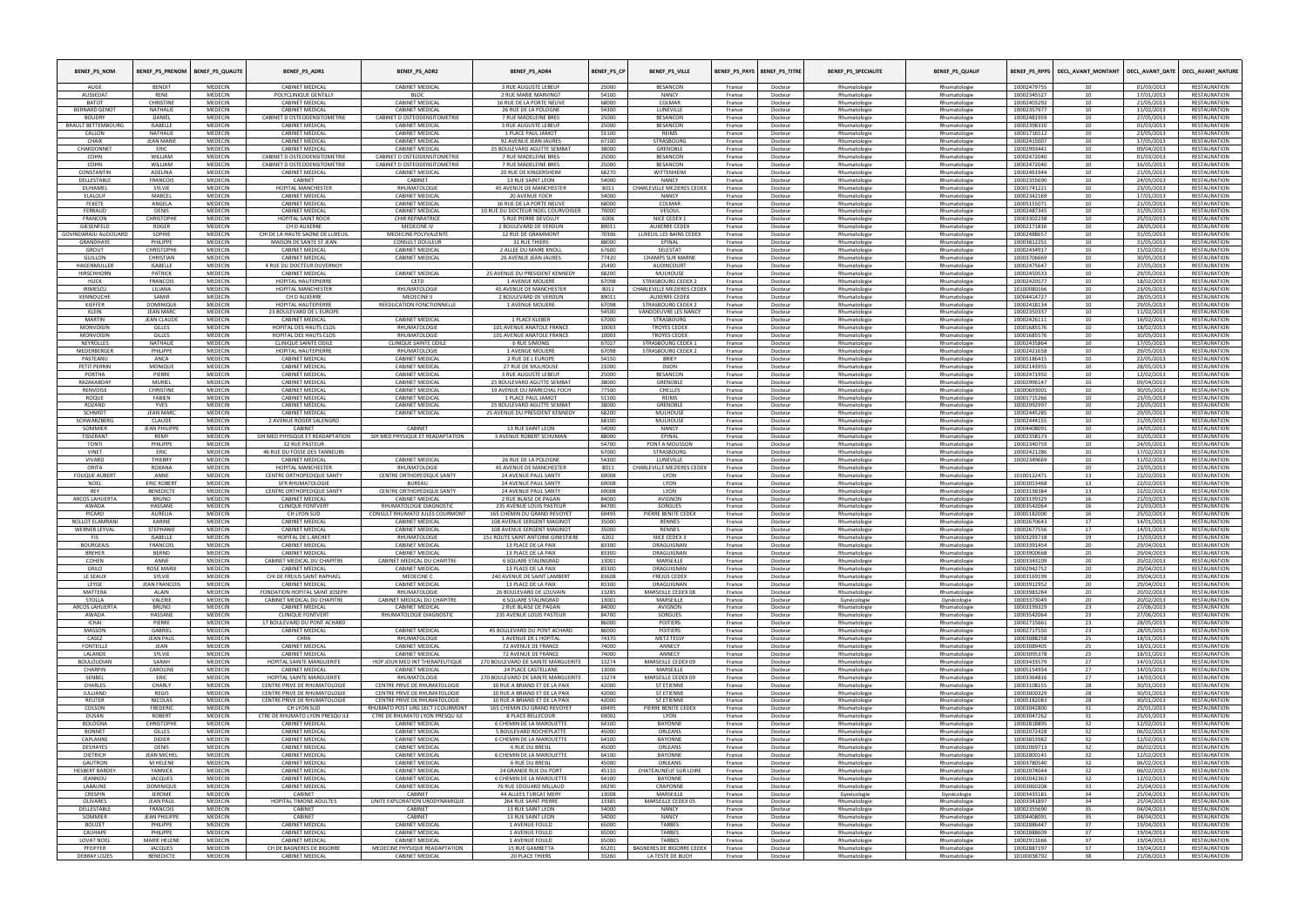| BENEF_PS_NOM                         |                                   | 3ENEF_PS_PRENOM   BENEF_PS_QUALITE | BENEF_PS_ADR1                                             | BENEF_PS_ADR2                                            | BENEF_PS_ADR4                                                       | <b>BENEF_PS_CP</b> | <b>BENEF_PS_VILLE</b>                              |                  | BENEF_PS_PAYS BENEF_PS_TITRE | <b>BENEF_PS_SPECIALITE</b>   | BENEF_PS_QUALIF              | <b>BENEF PS RPPS</b>       | DECL_AVANT_MONTANT | DECL_AVANT_DATE          | DECL_AVANT_NATURE                          |
|--------------------------------------|-----------------------------------|------------------------------------|-----------------------------------------------------------|----------------------------------------------------------|---------------------------------------------------------------------|--------------------|----------------------------------------------------|------------------|------------------------------|------------------------------|------------------------------|----------------------------|--------------------|--------------------------|--------------------------------------------|
| AUGE                                 | <b>BENOIT</b>                     | <b>MEDECIN</b>                     | <b>CABINET MEDICAL</b>                                    | <b>CABINET MEDICAL</b>                                   | <b>3 RUE AUGUSTE LEBEUR</b>                                         | 25000              | <b>BESANCON</b>                                    | France           | Docteur                      | Rhumatologie                 | Rhumatologie                 | 10002479755                | 10                 | 01/03/2013               | <b>RESTAURATION</b>                        |
| AUSSEDAT<br><b>BATOT</b>             | <b>RENE</b><br><b>CHRISTINE</b>   | MEDECIN<br>MEDECIN                 | POLYCLINIQUE GENTILLY<br><b>CABINET MEDICA</b>            | <b>BLOC</b><br><b>CABINET MEDICA</b>                     | 2 RUF MARIF MARVINGT<br>16 RUE DE LA PORTE NEUVE                    | 54100<br>68000     | NANCY<br>COLMAR                                    | France<br>France | Docteur<br>Docteur           | Rhumatologie<br>Rhumatologi  | Rhumatologie<br>Rhumatologi  | 10002345527<br>10002403292 | 10<br>10           | 17/01/2013<br>21/05/2013 | <b>RESTAURATION</b><br><b>RESTAURATION</b> |
| BERNARD GENOT                        | <b>NATHALIE</b>                   | MEDECIN                            | <b>CABINET MEDICAL</b>                                    | <b>CABINET MEDICAL</b>                                   | 26 RUE DE LA POLOGNE                                                | 54300              | LUNEVILLE                                          | France           | Docteur                      | Rhumatologie                 | Rhumatologie                 | 10002357977                | 10                 | 11/02/2013               | <b>RESTAURATION</b>                        |
| <b>BOUDRY</b>                        | DANIFL                            | MEDECIN                            | CABINET D OSTEODENSITOMETRIE                              | CABINET D OSTEODENSITOMETRIE                             | 7 RUE MADELEINE BRES                                                | 25000              | BESANCON                                           | France           | Docteur                      | Rhumatologie                 | Rhumatologie                 | 10002481959                | 10                 | 27/05/2013               | <b>RESTAURATION</b>                        |
| <b>BRAULT BETTEMBOURG</b>            | <b>ISABELLE</b>                   | MEDECIN                            | <b>CABINET MEDICAL</b>                                    | <b>CABINET MEDICAL</b>                                   | 3 RUE AUGUSTE LEBEUF                                                | 25000              | <b>BESANCON</b>                                    | France           | Docteur                      | Rhumatologie                 | Rhumatologie                 | 10002398310                | 10                 | 01/03/2013               | <b>RESTAURATION</b>                        |
| CALLON<br>CHAIX                      | NATHALIE<br><b>JEAN MARIE</b>     | MEDECIN<br>MEDECIN                 | <b>CABINET MEDICAL</b><br><b>CABINET MEDICA</b>           | <b>CABINET MEDICAL</b><br><b>CABINET MEDICA</b>          | 1 PLACE PAUL JAMOT<br>92 AVENUE JEAN JAURES                         | 51100<br>67100     | <b>REIMS</b><br><b>STRASBOURG</b>                  | France<br>France | Docteur<br>Docteur           | Rhumatologie<br>Rhumatologie | Rhumatologie<br>Rhumatologie | 10001716512<br>10002415007 | 10<br>10           | 23/05/2013<br>17/05/2013 | <b>RESTAURATION</b><br><b>RESTAURATION</b> |
| CHARDONNET                           | ERIC                              | MEDECIN                            | <b>CABINET MEDICAL</b>                                    | <b>CABINET MEDICAL</b>                                   | 25 BOULEVARD AGUTTE SEMBAT                                          | 38000              | <b>GRENOBLE</b>                                    | France           | Docteur                      | Rhumatologie                 | Rhumatologie                 | 10002993441                | 10                 | 09/04/2013               | <b>RESTAURATION</b>                        |
| COHN                                 | WILLIAM                           | <b>MEDECIN</b>                     | CABINET D OSTEODENSITOMETRIE                              | CABINET D OSTEODENSITOMETRIE                             | 7 RUE MADELEINE BRES                                                | 25000              | BESANCON                                           | France           | Docteur                      | Rhumatologie                 | Rhumatologie                 | 10002472040                | 10                 | 01/03/2013               | <b>RESTAURATION</b>                        |
| COHN                                 | WILLIAM                           | MEDECIN                            | CABINET D OSTEODENSITOMETRIE                              | CABINET D OSTEODENSITOMETRIE                             | 7 RUE MADELEINE BRES                                                | 25000              | BESANCON                                           | France           | Docteur                      | Rhumatologie                 | Rhumatologie                 | 10002472040                | 10                 | 16/05/2013               | <b>RESTAURATION</b>                        |
| CONSTANTIN<br>DELLESTABLE            | ADELINA<br><b>FRANCOIS</b>        | <b>MEDECIN</b><br>MEDECIN          | CABINET MEDICAL<br>CABINET                                | <b>CABINET MEDICAL</b><br>CABINET                        | 20 RUE DE KINGERSHEIM<br><b>13 RUE SAINT LEON</b>                   | 68270<br>54000     | WITTENHEIM<br><b>NANCY</b>                         | France<br>France | Docteur<br>Docteur           | Rhumatologie<br>Rhumatologie | Rhumatologie<br>Rhumatologie | 10002461944<br>10002355690 | 10<br>10           | 21/05/2013<br>24/05/2013 | <b>RESTAURATION</b><br><b>RESTAURATION</b> |
| DUHAMEL                              | SYLVIE                            | MEDECIN                            | HOPITAL MANCHESTER                                        | <b>RHUMATOLOGI</b>                                       | 45 AVENUE DE MANCHESTER                                             | 8011               | CHARLEVILLE MEZIERES CEDEX                         | France           | Docteur                      | Rhumatologie                 | Rhumatologie                 | 10001741221                | 10                 | 23/05/2013               | <b>RESTAURATION</b>                        |
| <b>ELALOUF</b>                       | MARCEI                            | MEDECIN                            | CABINET MEDICA                                            | <b>CABINET MEDICA</b>                                    | 20 AVENUE FOCH                                                      | 54000              | <b>NANCY</b>                                       | France           | Docteur                      | Rhumatologie                 | Rhumatologie                 | 10002342169                | 10                 | 17/01/2013               | <b>RESTAURATION</b>                        |
| FEKETE                               | ANGELA                            | <b>MEDECIN</b>                     | <b>CABINET MEDICAL</b>                                    | <b>CABINET MEDICAL</b>                                   | 16 RUE DE LA PORTE NEUVE                                            | 68000              | COLMAR                                             | France           | Docteur                      | Rhumatologie                 | Rhumatologie                 | 10005155071                | 10                 | 21/05/2013               | <b>RESTAURATION</b>                        |
| FERRAUD<br>FRANCON                   | DENIS<br><b>CHRISTOPHE</b>        | MEDECIN<br><b>MEDECIN</b>          | <b>CABINET MEDICAL</b><br>HOPITAL SAINT ROCH              | <b>CABINET MEDICAL</b><br><b>CHIR REPARATRICE</b>        | 10 RUE DU DOCTEUR NOEL COURVOISIER<br>5 RUE PIERRE DEVOLUY          | 70000<br>6006      | VESOUL<br>NICE CEDEX 1                             | France<br>France | Docteur<br>Docteur           | Rhumatologie<br>Rhumatologie | Rhumatologie<br>Rhumatologie | 10002487345<br>10003302238 | 10<br>10           | 31/05/2013<br>25/03/2013 | <b>RESTAURATION</b><br><b>RESTAURATION</b> |
| GIESENFELD                           | <b>ROGER</b>                      | MEDECIN                            | CH D AUXERRE                                              | MEDECINE IV                                              | 2 BOULEVARD DE VERDUN                                               | 89011              | <b>AUXERRE CEDEX</b>                               | France           | Docteur                      | Rhumatologie                 | Rhumatologie                 | 10002171816                | 10                 | 28/05/2013               | <b>RESTAURATION</b>                        |
| <b>GOVINDARAJU AUDOUARD</b>          | SOPHIE                            | MEDECIN                            | CHI DE LA HAUTE SAONE DE LUXEUIL                          | MEDECINE POLYVALENT                                      | 12 RUE DE GRAMMONT                                                  | 70306              | LUXEUIL LES BAINS CEDEX                            | France           | Docteur                      | Rhumatologie                 | Rhumatologie                 | 10002488657                | 10                 | 31/05/2013               | <b>RESTAURATION</b>                        |
| GRANDHAYE                            | PHILIPPF                          | MEDECIN                            | MAISON DE SANTE ST JEAN                                   | CONSULT DOULEUR                                          | <b>31 RUE THIERS</b>                                                | 88000              | EPINAL                                             | France           | Docteur                      | Rhumatologie                 | Rhumatologie                 | 10003812251                | 10                 | 31/05/2013               | <b>RESTAURATION</b>                        |
| GROUT<br>GUILLON                     | CHRISTOPHE<br>CHRISTIAN           | MEDECIN<br>MEDECIN                 | <b>CABINET MEDICAL</b><br><b>CABINET MEDICAL</b>          | <b>CABINET MEDICAL</b><br><b>CABINET MEDICAL</b>         | 2 ALLEE DU MAIRE KNOLI<br>26 AVENUE JEAN JAURES                     | 67600<br>77420     | SELESTAT<br><b>CHAMPS SUR MARNE</b>                | France<br>France | Docteur<br>Docteur           | Rhumatologie<br>Rhumatologie | Rhumatologie<br>Rhumatologie | 10002434917<br>10003706669 | 10<br>10           | 15/02/2013<br>30/05/2013 | <b>RESTAURATION</b><br><b>RESTAURATION</b> |
| HAGENMULLER                          | <b>ISABELLE</b>                   | MEDECIN                            | 4 RUE DU DOCTEUR DUVERNOY                                 |                                                          |                                                                     | 25400              | <b>AUDINCOURT</b>                                  | France           | Docteur                      | Rhumatologie                 | Rhumatologie                 | 10002475647                | 10                 | 27/05/2013               | <b>RESTAURATION</b>                        |
| <b>HIRSCHHORN</b>                    | <b>PATRICK</b>                    | MEDECIN                            | <b>CABINET MEDICAL</b>                                    | <b>CABINET MEDICAL</b>                                   | 25 AVENUE DU PRESIDENT KENNEDY                                      | 68200              | <b>MULHOUSE</b>                                    | France           | Docteur                      | Rhumatologie                 | Rhumatologie                 | 10002450533                | 10                 | 29/05/2013               | <b>RESTAURATION</b>                        |
| HUCK                                 | <b>FRANCOIS</b>                   | MEDECIN                            | <b>HOPITAL HAUTEPIERRE</b>                                | CETD                                                     | 1 AVENUE MOLIERE                                                    | 67098              | STRASBOURG CEDEX 2                                 | France           | Docteur                      | Rhumatologie                 | Rhumatologie                 | 10002420577                | 10                 | 18/02/2013               | <b>RESTAURATION</b>                        |
| <b>IRIMESCU</b><br>KENNOUCHE         | LILIANA<br>SAMIR                  | MEDECIN<br>MEDECIN                 | <b>HOPITAL MANCHESTER</b><br>CH D AUXERRI                 | RHUMATOLOGIE<br>MEDECINE II                              | 45 AVENUE DE MANCHESTER<br>2 BOULEVARD DE VERDUN                    | 8011<br>89011      | CHARLEVILLE MEZIERES CEDEX<br><b>AUXERRE CEDEX</b> | France<br>France | Docteur<br>Docteur           | Rhumatologie<br>Rhumatologie | Rhumatologie<br>Rhumatologie | 10100080166<br>10004414727 | 10<br>10           | 23/05/2013<br>28/05/2013 | <b>RESTAURATION</b><br><b>RESTAURATION</b> |
| KIEFFER                              | <b>DOMINIQUE</b>                  | MEDECIN                            | <b>HOPITAL HAUTEPIERRE</b>                                | REEDUCATION FONCTIONNELLE                                | 1 AVENUE MOLIERE                                                    | 67098              | <b>STRASBOURG CEDEX 2</b>                          | France           | Docteur                      | Rhumatologie                 | Rhumatologie                 | 10002418134                | 10                 | 29/05/2013               | <b>RESTAURATION</b>                        |
| KLEIN                                | <b>JEAN MARC</b>                  | MEDECIN                            | 23 BOULEVARD DE L EUROPE                                  |                                                          |                                                                     | 54500              | VANDOEUVRE LES NANCY                               | France           | Docteur                      | Rhumatologie                 | Rhumatologie                 | 10002350337                | 10                 | 11/02/2013               | <b>RESTAURATION</b>                        |
| <b>MARTIN</b>                        | <b>JEAN CLAUDE</b>                | MEDECIN                            | <b>CABINET MEDICAL</b>                                    | <b>CABINET MEDICAL</b>                                   | 1 PLACE KLEBER                                                      | 67000              | <b>STRASBOURG</b>                                  | France           | Docteur                      | Rhumatologie                 | Rhumatologie                 | 10002426111                | 10                 | 16/02/2013               | <b>RESTAURATION</b>                        |
| <b>MONVOISIN</b><br><b>MONVOISIN</b> | GILLES<br>GILLES                  | MEDECIN<br>MEDECIN                 | HOPITAL DES HAUTS CLOS<br>HOPITAL DES HAUTS CLOS          | RHUMATOLOGIE<br><b>RHUMATOLOGI</b>                       | 101 AVENUE ANATOLE FRANCE<br>101 AVENUE ANATOLE FRANCE              | 10003<br>10003     | <b>TROYES CEDEX</b><br><b>TROYES CEDEX</b>         | France<br>France | Docteur<br>Docteur           | Rhumatologie                 | Rhumatologie                 | 10001685576<br>1000168557  | 10<br>10           | 18/02/2013<br>30/05/2013 | <b>RESTAURATION</b><br><b>RESTAURATION</b> |
| NEYROLLES                            | <b>NATHALIE</b>                   | MEDECIN                            | <b>CLINIQUE SAINTE ODILE</b>                              | <b>CLINIQUE SAINTE ODIL</b>                              | <b>6 RUE SIMONIS</b>                                                | 67027              | STRASBOURG CEDEX :                                 | France           | Docteur                      | Rhumatologie<br>Rhumatologi  | Rhumatologie<br>Rhumatologie | 10002435864                | 10                 | 17/05/2013               | <b>RESTAURATION</b>                        |
| NIEDERBERGER                         | PHILIPPF                          | <b>MEDECIN</b>                     | <b>HOPITAL HAUTEPIERRE</b>                                | RHUMATOLOGIE                                             | <b>1 AVENUE MOLIERE</b>                                             | 67098              | STRASBOURG CEDEX 2                                 | France           | Docteur                      | Rhumatologie                 | Rhumatologie                 | 10002421658                | 10                 | 29/05/2013               | <b>RESTAURATION</b>                        |
| PASTEANU                             | ANCA                              | MEDECIN                            | <b>CABINET MEDICAL</b>                                    | <b>CABINET MEDICAL</b>                                   | 2 RUE DE L EUROPE                                                   | 54150              | BRIEY                                              | France           | Docteur                      | Rhumatologie                 | Rhumatologie                 | 10005186415                | 10                 | 22/05/2013               | <b>RESTAURATION</b>                        |
| PETIT PERRIN<br>PORTHA               | <b>MONIQUE</b><br>PIERRE          | MEDECIN<br><b>MEDECIN</b>          | <b>CABINET MEDICAL</b><br><b>CABINET MEDICAL</b>          | <b>CABINET MEDICAL</b><br><b>CABINET MEDICAL</b>         | 27 RUE DE MULHOUSE<br><b>3 RUE AUGUSTE LEBEUF</b>                   | 21000<br>25000     | <b>DIJON</b><br><b>BESANCON</b>                    | France<br>France | Docteur<br>Docteur           | Rhumatologie<br>Rhumatologie | Rhumatologie<br>Rhumatologie | 10002143955<br>10002471950 | 10<br>10           | 28/05/2013<br>12/02/2013 | <b>RESTAURATION</b><br><b>RESTAURATION</b> |
| RAZAKABOAY                           | MURIEL                            | MEDECIN                            | <b>CABINET MEDICAL</b>                                    | <b>CABINET MEDICAL</b>                                   | 25 BOULEVARD AGUTTE SEMBAT                                          | 38000              | <b>GRENOBLE</b>                                    | France           | Docteur                      | Rhumatologie                 | Rhumatologie                 | 10002996147                | 10                 | 09/04/2013               | <b>RESTAURATION</b>                        |
| <b>RENVOISI</b>                      | <b>CHRISTINE</b>                  | MEDECIN                            | CABINET MEDICAL                                           | <b>CABINET MEDICAL</b>                                   | 19 AVENUE DU MARECHAL FOCH                                          | 77500              | <b>CHELLES</b>                                     | France           | Docteur                      | Rhumatologie                 | Rhumatologie                 | 10000693001                | 10                 | 30/05/2013               | <b>RESTAURATION</b>                        |
| ROQUE                                | <b>FABIEN</b>                     | MEDECIN                            | <b>CABINET MEDICAL</b>                                    | <b>CABINET MEDICAL</b>                                   | 1 PLACE PAUL JAMOT                                                  | 51100              | <b>REIMS</b>                                       | France           | Docteur                      | Rhumatologie                 | Rhumatologie                 | 10001715266                | 10                 | 23/05/2013               | <b>RESTAURATION</b>                        |
| ROZAND<br><b>SCHMIDT</b>             | <b>YVES</b><br><b>JEAN MARC</b>   | MEDECIN<br><b>MEDECIN</b>          | <b>CABINET MEDICAL</b><br><b>CABINET MEDICAL</b>          | <b>CABINET MEDICAL</b><br><b>CABINET MEDICAL</b>         | 25 BOULEVARD AGUTTE SEMBAT<br>25 AVENUE DU PRESIDENT KENNEDY        | 38000<br>68200     | <b>GRENOBLE</b><br><b>MULHOUSE</b>                 | France<br>France | Docteur<br>Docteur           | Rhumatologie<br>Rhumatologie | Rhumatologie<br>Rhumatologie | 10002992997<br>10002445285 | 10<br>10           | 23/05/2013<br>29/05/2013 | <b>RESTAURATION</b><br><b>RESTAURATION</b> |
| SCHWARZBERG                          | CLAUDE                            | MEDECIN                            | 2 AVENUE ROGER SALENGRO                                   |                                                          |                                                                     | 68100              | <b>MULHOUSE</b>                                    | France           | Docteur                      | Rhumatologie                 | Rhumatologie                 | 10002444155                | 10                 | 21/05/2013               | <b>RESTAURATION</b>                        |
| SOMMIER                              | <b>JEAN PHILIPPE</b>              | MEDECIN                            | CABINET                                                   | <b>CABINET</b>                                           | <b>13 RUE SAINT LEON</b>                                            | 54000              | <b>NANCY</b>                                       | France           | Docteur                      | Rhumatologie                 | Rhumatologie                 | 10004408091                | 10                 | 24/05/2013               | <b>RESTAURATION</b>                        |
| TISSERANT                            | RFMY                              | MEDECIN                            | SIH MED PHYSIQUE ET READAPTATION                          | SIH MED PHYSIQUE ET READAPTATION                         | 3 AVENUE ROBERT SCHUMAN                                             | 88000              | EPINAL                                             | France           | Docteur                      | Rhumatologie                 | Rhumatologie                 | 1000235817                 | 10                 | 31/05/2013               | <b>RESTAURATION</b>                        |
| <b>TONTI</b>                         | PHILIPPE                          | MEDECIN                            | <b>32 RUE PASTEUR</b>                                     |                                                          |                                                                     | 54700<br>67000     | PONT A MOUSSON                                     | France           | Docteur                      | Rhumatologie                 | Rhumatologie                 | 10002340759                | 10                 | 24/05/2013               | <b>RESTAURATION</b><br><b>RESTAURATION</b> |
| <b>VINET</b><br>VIVARD               | ERIC<br>THIERRY                   | <b>MEDECIN</b><br>MEDECIN          | 46 RUE DU FOSSE DES TANNEURS<br><b>CABINET MEDICAL</b>    | <b>CABINET MEDICAL</b>                                   | 26 RUE DE LA POLOGNE                                                | 54300              | <b>STRASBOURG</b><br>LUNEVILLE                     | France<br>France | Docteur<br>Docteur           | Rhumatologie<br>Rhumatologie | Rhumatologie<br>Rhumatologie | 10002421286<br>10002349669 | 10<br>10           | 17/02/2013<br>11/02/2013 | <b>RESTAURATION</b>                        |
| ORITA                                | <b>ROXANA</b>                     | MEDECIN                            | <b>HOPITAL MANCHESTER</b>                                 | <b>RHUMATOLOGIE</b>                                      | 45 AVENUE DE MANCHESTER                                             | 8011               | CHARLEVILLE MEZIERES CEDEX                         | France           | Docteur                      | Rhumatologie                 | Rhumatologie                 |                            | 10                 | 23/05/2013               | <b>RESTAURATION</b>                        |
| <b>FOUQUE AUBERT</b>                 | ANNE                              | MEDECIN                            | CENTRE ORTHOPEDIQUE SANTY                                 | CENTRE ORTHOPEDIQUE SANTY                                | 24 AVENUE PAUL SANTY                                                | 69008              | <b>LYON</b>                                        | France           | Docteur                      | Rhumatologie                 | Rhumatologie                 | 10100122471                | 13                 | 22/02/2013               | <b>RESTAURATION</b>                        |
| <b>NOEL</b><br>REY                   | <b>ERIC ROBERT</b>                | MEDECIN                            | SFR RHUMATOLOGIE                                          | <b>BURFAU</b>                                            | 24 AVENUE PAUL SANTY<br><b>24 AVENUE PAUL SANTY</b>                 | 69008<br>69008     | LYON                                               | France           | Docteur<br>Docteur           | Rhumatologie                 | Rhumatologie                 | 10003053468<br>10003138384 | 13                 | 22/02/2013               | <b>RESTAURATION</b><br><b>RESTAURATION</b> |
| <b>ARCOS LAHUERTA</b>                | <b>BENEDICTE</b><br><b>BRUNO</b>  | MEDECIN<br>MEDECIN                 | CENTRE ORTHOPEDIQUE SANTY<br><b>CABINET MEDICAL</b>       | CENTRE ORTHOPEDIQUE SANTY<br><b>CABINET MEDICAL</b>      | 2 RUE BLAISE DE PAGAN                                               | 84000              | LYON<br>AVIGNON                                    | France<br>France | Docteur                      | Rhumatologie<br>Rhumatologie | Rhumatologie<br>Rhumatologie | 10003199329                | 13<br>16           | 22/02/2013<br>21/03/2013 | <b>RESTAURATION</b>                        |
| AWADA                                | HASSANE                           | MEDECIN                            | <b>CLINIQUE FONTVERT</b>                                  | RHUMATOLOGIE DIAGNOSTIC                                  | 235 AVENUE LOUIS PASTEUR                                            | 84700              | SORGUES                                            | France           | Docteur                      | Rhumatologie                 | Rhumatologie                 | 10003542064                | 16                 | 21/03/2013               | <b>RESTAURATION</b>                        |
| PICARD                               | <b>AURELIA</b>                    | MEDECIN                            | CH LYON SUD                                               | CONSULT RHUMATO JULES COURMONT                           | 165 CHEMIN DU GRAND REVOYET                                         | 69495              | PIERRE BENITE CEDEX                                | France           | Docteur                      | Rhumatologie                 | Rhumatologie                 | 10005182000                | 16                 | 25/02/2013               | <b>RESTAURATION</b>                        |
| ROLLOT ELAMRAN                       | <b>KARINE</b>                     | MEDECIN                            | <b>CABINET MEDICAL</b>                                    | <b>CABINET MEDICA</b>                                    | 108 AVENUE SERGENT MAGINOT                                          | 35000              | <b>RENNES</b>                                      | France           | Docteur                      | Rhumatologie                 | Rhumatologie                 | 10002670643                | 17                 | 14/01/2013               | <b>RESTAURATION</b><br><b>RESTAURATION</b> |
| WERNER LEYVAI<br><b>FIS</b>          | STEPHANIE<br><b>ISABELLE</b>      | <b>MEDECIN</b><br>MEDECIN          | <b>CABINET MEDICA</b><br>HOPITAL DE L ARCHET              | <b>CABINET MEDICA</b><br><b>RHUMATOLOGI</b>              | 108 AVENUE SERGENT MAGINOT<br>151 ROUTE SAINT ANTOINE GINESTIER     | 35000<br>6202      | RENNES<br>NICE CEDEX 3                             | France<br>France | Docteur<br>Docteur           | Rhumatologie<br>Rhumatologi  | Rhumatologie<br>Rhumatologie | 10002677556<br>10003293718 | 17<br>19           | 14/01/2013<br>15/03/2013 | <b>RESTAURATION</b>                        |
| <b>BOURGEAIS</b>                     | <b>FRANCOIS</b>                   | MEDECIN                            | <b>CABINET MEDICAL</b>                                    | <b>CABINET MEDICAL</b>                                   | 13 PLACE DE LA PAIX                                                 | 83300              | DRAGUIGNAN                                         | France           | Docteur                      | Rhumatologie                 | Rhumatologie                 | 10003391454                | 20                 | 29/04/2013               | <b>RESTAURATION</b>                        |
| <b>BREHER</b>                        | <b>BFRND</b>                      | <b>MEDECIN</b>                     | <b>CABINET MEDICAL</b>                                    | CARINET MEDICA                                           | 13 PLACE DE LA PAIX                                                 | 83300              | DRAGUIGNAN                                         | France           | Docteur                      | Rhumatologie                 | Rhumatologie                 | 10003900668                |                    | 29/04/2013               | <b>RESTAURATION</b>                        |
| <b>COHEN</b>                         | ANNE                              | <b>MEDECIN</b>                     | CABINET MEDICAL DU CHAPITRE                               | CABINET MEDICAL DU CHAPITRE                              | <b>6 SQUARE STALINGRAD</b>                                          | 13001              | MARSEILLE                                          | France           | Docteur                      | Rhumatologie                 | Rhumatologie                 | 10003343109                | 20                 | 20/02/2013               | <b>RESTAURATION</b>                        |
| GRILO<br>LE SEAUX                    | <b>ROSE MARIE</b><br>SYLVIE       | <b>MEDECIN</b><br>MEDECIN          | <b>CABINET MEDICAL</b><br>CHI DE FREJUS SAINT RAPHAEL     | <b>CABINET MEDICAL</b><br>MEDECINE C                     | 13 PLACE DE LA PAIX<br>240 AVENUE DE SAINT LAMBERT                  | 83300<br>83608     | DRAGUIGNAN<br><b>FREJUS CEDEX</b>                  | France<br>France | Docteur<br>Docteur           | Rhumatologie<br>Rhumatologie | Rhumatologie<br>Rhumatologie | 10002942752<br>10003169199 | 20<br>20           | 29/04/2013<br>29/04/2013 | <b>RESTAURATION</b><br><b>RESTAURATION</b> |
| LEYGE                                | <b>JEAN FRANCOIS</b>              | MEDECIN                            | <b>CABINET MEDICAL</b>                                    | CABINET MEDICAL                                          | 13 PLACE DE LA PAIX                                                 | 83300              | DRAGUIGNAN                                         | France           | Docteur                      | Rhumatologie                 | Rhumatologie                 | 10003912952                | 20                 | 29/04/2013               | <b>RESTAURATION</b>                        |
| <b>MATTERA</b>                       | ALAIN                             | MEDECIN                            | FONDATION HOPITAL SAINT JOSEPH                            | RHUMATOLOGIE                                             | 26 BOULEVARD DE LOUVAIN                                             | 13285              | MARSEILLE CEDEX 08                                 | France           | Docteur                      | Rhumatologie                 | Rhumatologie                 | 10003983284                | 20                 | 20/02/2013               | <b>RESTAURATION</b>                        |
| STOLLA<br><b>ARCOS LAHUERTA</b>      | VALERIE<br><b>BRUNO</b>           | MEDECIN<br><b>MEDECIN</b>          | CABINET MEDICAL DU CHAPITRE<br><b>CABINET MEDICAL</b>     | CABINET MEDICAL DU CHAPITRE<br><b>CABINET MEDICAL</b>    | <b>6 SQUARE STALINGRAD</b><br>2 RUE BLAISE DE PAGAN                 | 13001<br>84000     | MARSEILLE<br>AVIGNON                               | France<br>France | Docteur<br>Docteur           | Gynécologie                  | Gynécologie                  | 10003373049<br>10003199329 | 20<br>23           | 20/02/2013<br>27/06/2013 | <b>RESTAURATION</b><br><b>RESTAURATION</b> |
| AWADA                                | HASSANE                           | MEDECIN                            | <b>CLINIQUE FONTVERT</b>                                  | RHUMATOLOGIE DIAGNOSTIC                                  | 235 AVENUE LOUIS PASTEUR                                            | 84700              | SORGUES                                            | France           | Docteur                      | Rhumatologie<br>Rhumatologie | Rhumatologie<br>Rhumatologie | 10003542064                | 23                 | 27/06/2013               | <b>RESTAURATION</b>                        |
| <b>ICHAI</b>                         | PIERRE                            | MEDECIN                            | 17 BOULEVARD DU PONT ACHARD                               |                                                          |                                                                     | 86000              | <b>POITIERS</b>                                    | France           | Docteur                      | Rhumatologie                 | Rhumatologie                 | 10002715661                | 23                 | 28/05/2013               | <b>RESTAURATION</b>                        |
| <b>MASSON</b>                        | <b>GABRIEL</b>                    | <b>MEDECIN</b>                     | <b>CABINET MEDICAL</b>                                    | <b>CABINET MEDICAL</b>                                   | 45 BOULEVARD DU PONT ACHARD                                         | 86000              | <b>POITIERS</b>                                    | France           | Docteur                      | Rhumatologie                 | Rhumatologie                 | 10002717550                | 23                 | 28/05/2013               | <b>RESTAURATION</b>                        |
| CASEZ<br><b>FONTEILLE</b>            | <b>JEAN PAUL</b><br>JEAN          | MEDECIN<br><b>MEDECIN</b>          | CHRA<br><b>CABINET MEDICAL</b>                            | RHUMATOLOGIE<br><b>CABINET MEDICAL</b>                   | 1 AVENUE DE L HOPITAL<br>72 AVENUE DE FRANCE                        | 74370<br>74000     | <b>METZ TESSY</b><br>ANNECY                        | France<br>France | Docteur<br>Docteur           | Rhumatologie<br>Rhumatologie | Rhumatologie<br>Rhumatologie | 10003088258<br>10003089405 | 25<br>25           | 18/01/2013<br>18/01/2013 | <b>RESTAURATION</b><br><b>RESTAURATION</b> |
| LALANDE                              | SYLVIE                            | <b>MEDECIN</b>                     | <b>CABINET MEDICAL</b>                                    | <b>CABINET MEDICAL</b>                                   | 72 AVENUE DE FRANCE                                                 | 74000              | ANNECY                                             | France           | Docteur                      | Rhumatologie                 | Rhumatologie                 | 10003095378                | 25                 | 18/01/2013               | <b>RESTAURATION</b>                        |
| <b>BOULOUDIAN</b>                    | SARAH                             | MEDECIN                            | HOPITAL SAINTE MARGUERITE                                 | HOP JOUR MED INT THERAPEUTIQUE                           | 270 BOULEVARD DE SAINTE MARGUERITE                                  | 13274              | MARSEILLE CEDEX 09                                 | France           | Docteur                      | Rhumatologie                 | Rhumatologie                 | 10003433579                | 27                 | 14/03/2013               | <b>RESTAURATION</b>                        |
| CHARPIN                              | CAROLINE                          | MEDECIN                            | <b>CABINET MEDICAL</b>                                    | <b>CABINET MEDICAL</b>                                   | 24 PLACE CASTELLANE                                                 | 13006              | MARSEILLE                                          | France           | Docteur                      | Rhumatologie                 | Rhumatologie                 | 10005154934                | 27                 | 14/03/2013               | <b>RESTAURATION</b>                        |
| SENBEL<br>CHARLES                    | ERIC<br>CHARLY                    | MEDECIN<br>MEDECIN                 | HOPITAL SAINTE MARGUERITE<br>CENTRE PRIVE DE RHUMATOLOGIE | RHUMATOLOGIE<br>CENTRE PRIVE DE RHUMATOLOGIE             | 270 BOULEVARD DE SAINTE MARGUERITE<br>10 RUE A BRIAND ET DE LA PAIX | 13274<br>42000     | MARSEILLE CEDEX 09<br><b>ST ETIENNE</b>            | France<br>France | Docteur<br>Docteur           | Rhumatologie<br>Rhumatologie | Rhumatologie<br>Rhumatologie | 10003364816<br>10003108155 | 27<br>28           | 14/03/2013<br>30/01/2013 | <b>RESTAURATION</b><br><b>RESTAURATION</b> |
| JULLIAND                             | REGIS                             | MEDECIN                            | CENTRE PRIVE DE RHUMATOLOGIE                              | CENTRE PRIVE DE RHUMATOLOGIE                             | 10 RUE A BRIAND ET DE LA PAIX                                       | 42000              | <b>ST ETIENNE</b>                                  | France           | Docteur                      | Rhumatologie                 | Rhumatologie                 | 10003000329                | 28                 | 30/01/2013               | RESTAURATION                               |
| REUTER                               | <b>NICOLAS</b>                    | MEDECIN                            | CENTRE PRIVE DE RHUMATOLOGIE                              | CENTRE PRIVE DE RHUMATOLOGIE                             | 10 RUE A BRIAND ET DE LA PAIX                                       | 42000              | <b>ST ETIENNE</b>                                  | France           | Docteur                      | Rhumatologie                 | Rhumatologie                 | 10005182083                | 28                 | 30/01/2013               | <b>RESTAURATION</b>                        |
| COLSON                               | <b>FREDERIC</b>                   | MEDECIN                            | CH LYON SUD                                               | RHUMATO POST URG SECT J COURMONT                         | 165 CHEMIN DU GRAND REVOYET                                         | 69495              | PIERRE BENITE CEDEX                                | France           | Docteur                      | Rhumatologie                 | Rhumatologie                 | 10003042800                | 31                 | 25/01/2013               | <b>RESTAURATION</b>                        |
| DUSAN<br>BOLOGNA                     | <b>ROBERT</b><br>CHRISTOPHE       | MEDECIN<br>MEDECIN                 | CTRE DE RHUMATO LYON PRESQUILE<br><b>CABINET MEDICAL</b>  | CTRE DE RHUMATO LYON PRESQUILE<br><b>CABINET MEDICAL</b> | 8 PLACE BELLECOUR<br>6 CHEMIN DE LA MAROUETTE                       | 69002<br>64100     | LYON<br>BAYONNE                                    | France<br>France | Docteur<br>Docteur           | Rhumatologie<br>Rhumatologie | Rhumatologie<br>Rhumatologie | 10003047262<br>10002818895 | 31<br>32           | 25/01/2013<br>12/02/2013 | <b>RESTAURATION</b><br><b>RESTAURATION</b> |
| <b>BONNET</b>                        | GILLES                            | MEDECIN                            | <b>CABINET MEDICAL</b>                                    | <b>CABINET MEDICAL</b>                                   | 5 BOULEVARD ROCHEPLATTE                                             | 45000              | ORLEANS                                            | France           | Docteur                      | Rhumatologie                 | Rhumatologie                 | 10002072428                | 32                 | 06/02/2013               | <b>RESTAURATION</b>                        |
| CAPLANNE                             | <b>DIDIER</b>                     | MEDECIN                            | <b>CABINET MEDICAL</b>                                    | <b>CABINET MEDICAL</b>                                   | 6 CHEMIN DE LA MAROUETTE                                            | 64100              | BAYONNE                                            | France           | Docteur                      | Rhumatologie                 | Rhumatologie                 | 10003853982                | 32                 | 12/02/2013               | <b>RESTAURATION</b>                        |
| <b>DESHAYES</b>                      | <b>DENIS</b>                      | <b>MEDECIN</b>                     | <b>CABINET MEDICAL</b>                                    | <b>CABINET MEDICAL</b>                                   | <b>6 RUE DU BRESIL</b>                                              | 45000              | ORLEANS                                            | France           | Docteur                      | Rhumatologie                 | Rhumatologie                 | 10002069713                | 32                 | 06/02/2013               | <b>RESTAURATION</b>                        |
| <b>DIETRICH</b><br>GAUTRON           | <b>JEAN MICHEL</b><br>M HELENE    | MEDECIN<br>MEDECIN                 | <b>CABINET MEDICAL</b><br><b>CABINET MEDICAL</b>          | <b>CABINET MEDICAL</b><br><b>CABINET MEDICAL</b>         | 6 CHEMIN DE LA MAROUETTE<br><b>6 RUE DU BRESIL</b>                  | 64100<br>45000     | BAYONNE<br>ORLEANS                                 | France<br>France | Docteur<br>Docteur           | Rhumatologie<br>Rhumatologie | Rhumatologie<br>Rhumatologie | 10002800141<br>10003780540 | 32<br>32           | 12/02/2013<br>06/02/2013 | <b>RESTAURATION</b><br><b>RESTAURATION</b> |
| <b>HESBERT BARDEY</b>                | YANNICK                           | MEDECIN                            | <b>CABINET MEDICAL</b>                                    | <b>CABINET MEDICAL</b>                                   | 24 GRANDE RUE DU PORT                                               | 45110              | <b>CHATEAUNEUF SUR LOIRE</b>                       | France           | Docteur                      | Rhumatologie                 | Rhumatologie                 | 10002074044                | 32                 | 06/02/2013               | <b>RESTAURATION</b>                        |
| JEANNOU                              | <b>JACQUES</b>                    | MEDECIN                            | <b>CABINET MEDICAL</b>                                    | <b>CABINET MEDICAL</b>                                   | 6 CHEMIN DE LA MAROUETTE                                            | 64100              | BAYONNE                                            | France           | Docteur                      | Rhumatologie                 | Rhumatologie                 | 10002042363                | 32                 | 12/02/2013               | <b>RESTAURATION</b>                        |
| LABAUNE                              | <b>DOMINIQUE</b>                  | <b>MEDECIN</b>                     | <b>CABINET MEDICAL</b>                                    | <b>CABINET MEDICAL</b>                                   | 76 RUE EDOUARD MILLAUD                                              | 69290              | CRAPONNE                                           | France           | Docteur                      | Rhumatologie                 | Rhumatologie                 | 10003060208                | 33                 | 25/04/2013               | <b>RESTAURATION</b>                        |
| <b>CRESPIN</b><br>OLIVARES           | <b>JEROME</b><br><b>JEAN PAUL</b> | MEDECIN<br><b>MEDECIN</b>          | CABINET<br>HOPITAL TIMONE ADULTES                         | CABINET<br>UNITE EXPLORATION URODYNAMIQUE                | 44 ALLEES TURCAT MERY<br><b>264 RUE SAINT PIERRE</b>                | 13008<br>13385     | MARSEILLE<br>MARSEILLE CEDEX 05                    | France<br>France | Docteur<br>Docteur           | Gynécologie<br>Rhumatologie  | Gynécologie<br>Rhumatologie  | 10003433181<br>10003341897 | 34<br>34           | 25/04/2013<br>25/04/2013 | <b>RESTAURATION</b><br><b>RESTAURATION</b> |
| DELLESTABLE                          | <b>FRANCOIS</b>                   | MEDECIN                            | CABINET                                                   | CABINET                                                  | 13 RUE SAINT LEON                                                   | 54000              | <b>NANCY</b>                                       | France           | Docteur                      | Rhumatologie                 | Rhumatologie                 | 10002355690                | 35                 | 04/04/2013               | <b>RESTAURATION</b>                        |
| SOMMIER                              | <b>JEAN PHILIPPE</b>              | MEDECIN                            | CABINET                                                   | CABINET                                                  | 13 RUE SAINT LEON                                                   | 54000              | <b>NANCY</b>                                       | France           | Docteur                      | Rhumatologie                 | Rhumatologie                 | 10004408091                | 35                 | 04/04/2013               | <b>RESTAURATION</b>                        |
| <b>BOUZET</b>                        | PHILIPPE                          | MEDECIN                            | <b>CABINET MEDICAL</b>                                    | <b>CABINET MEDICAL</b>                                   | 1 AVENUE FOULD                                                      | 65000              | <b>TARBES</b>                                      | France           | Docteur                      | Rhumatologie                 | Rhumatologie                 | 10002886447                | 37                 | 19/04/2013               | <b>RESTAURATION</b>                        |
| CAUHAPE<br><b>LOVAT NOEL</b>         | PHILIPPE<br><b>MARIE HELENE</b>   | <b>MEDECIN</b><br><b>MEDECIN</b>   | <b>CABINET MEDICAL</b><br><b>CABINET MEDICAL</b>          | <b>CABINET MEDICAL</b><br><b>CABINET MEDICAL</b>         | 1 AVENUE FOULD<br>1 AVENUE FOULD                                    | 65000<br>65000     | TARBES<br>TARBES                                   | France<br>France | Docteur<br>Docteur           | Rhumatologie<br>Rhumatologie | Rhumatologie<br>Rhumatologie | 10002888609<br>10002911666 | 37<br>37           | 19/04/2013<br>19/04/2013 | <b>RESTAURATION</b><br><b>RESTAURATION</b> |
| PFEIFFER                             | <b>JACQUES</b>                    | <b>MEDECIN</b>                     | CH DE BAGNERES DE BIGORRE                                 | MEDECINE PHYSIQUE READAPTATION                           | 15 RUE GAMBETTA                                                     | 65201              | BAGNERES DE BIGORRE CEDEX                          | France           | Docteur                      | Rhumatologie                 | Rhumatologie                 | 10002887197                | 37                 | 19/04/2013               | <b>RESTAURATION</b>                        |
| DEBRAY LOZES                         | <b>BENEDICTE</b>                  | MEDECIN                            | <b>CABINET MEDICAL</b>                                    | <b>CABINET MEDICAL</b>                                   | 20 PLACE THIERS                                                     | 33260              | LA TESTE DE BUCH                                   | France           | Docteur                      | Rhumatologie                 | Rhumatologie                 | 10100038792                | 38                 | 21/06/2013               | RESTAURATION                               |